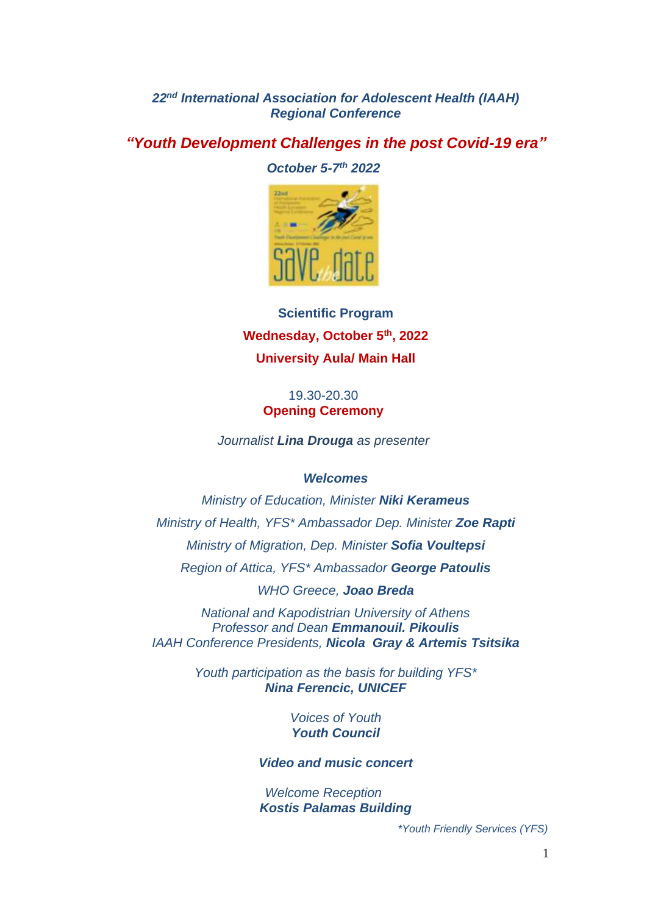*22 nd International Association for Adolescent Health (IAAH) Regional Conference*

*"Youth Development Challenges in the post Covid-19 era"*

*October 5-7 th 2022*



**Scientific Program Wednesday, October 5th, 2022 University Aula/ Main Hall**

## 19.30-20.30 **Opening Ceremony**

*Journalist Lina Drouga as presenter*

### *Welcomes*

*Ministry of Education, Minister Niki Kerameus Ministry of Health, YFS\* Ambassador Dep. Minister Zoe Rapti Ministry of Migration, Dep. Minister Sofia Voultepsi Region of Attica, YFS\* Ambassador George Patoulis*

*WHO Greece, Joao Breda*

*National and Kapodistrian University of Athens Professor and Dean Emmanouil. Pikoulis IAAH Conference Presidents, Nicola Gray & Artemis Tsitsika*

> *Youth participation as the basis for building YFS\* Nina Ferencic, UNICEF*

> > *Voices of Youth Youth Council*

*Video and music concert*

*Welcome Reception Kostis Palamas Building*

 *\*Youth Friendly Services (YFS)*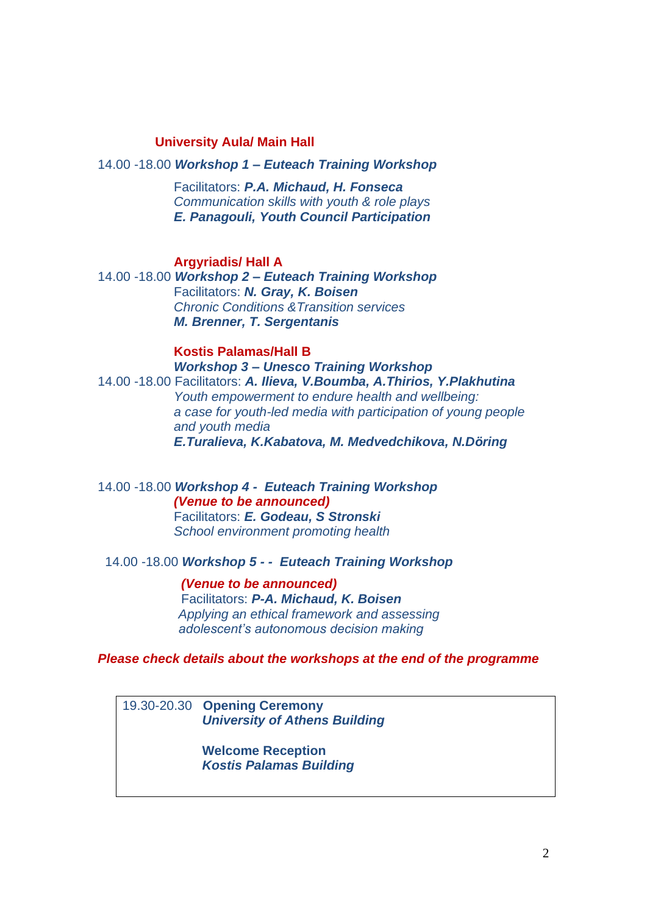## **University Aula/ Main Hall**

### 14.00 -18.00 *Workshop 1 – Euteach Training Workshop*

 Facilitators: *P.A. Michaud, H. Fonseca Communication skills with youth & role plays E. Panagouli, Youth Council Participation*

### **Argyriadis/ Hall A**

14.00 -18.00 *Workshop 2 – Euteach Training Workshop* Facilitators: *N. Gray, K. Boisen Chronic Conditions &Transition services M. Brenner, T. Sergentanis*

## **Kostis Palamas/Hall B** *Workshop 3 – Unesco Training Workshop*

14.00 -18.00 Facilitators: *A. Ilieva, V.Boumba, A.Thirios, Y.Plakhutina Youth empowerment to endure health and wellbeing: a case for youth-led media with participation of young people and youth media E.Turalieva, K.Kabatova, M. Medvedchikova, N.Döring*

14.00 -18.00 *Workshop 4 - Euteach Training Workshop (Venue to be announced)* Facilitators: *E. Godeau, S Stronski School environment promoting health* 

## 14.00 -18.00 *Workshop 5 - - Euteach Training Workshop*

 *(Venue to be announced)* Facilitators: *P-A. Michaud, K. Boisen Applying an ethical framework and assessing adolescent's autonomous decision making* 

### *Please check details about the workshops at the end of the programme*

19.30-20.30 **Opening Ceremony** *University of Athens Building*

> **Welcome Reception** *Kostis Palamas Building*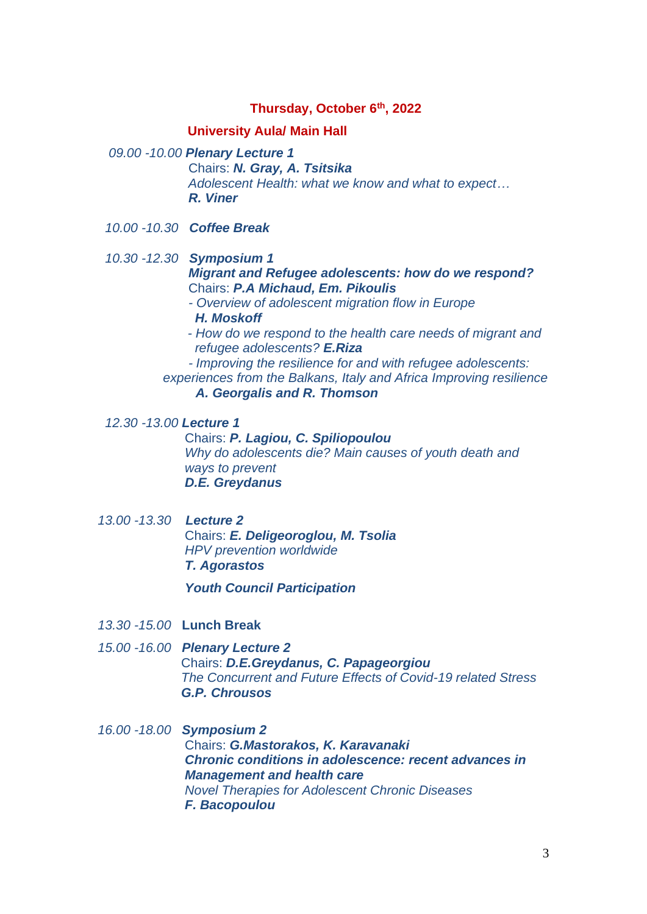## **Thursday, October 6th, 2022**

### **University Aula/ Main Hall**

- *09.00 -10.00 Plenary Lecture 1* Chairs: *N. Gray, A. Tsitsika Adolescent Health: what we know and what to expect… R. Viner*
- *10.00 -10.30 Coffee Break*
- *10.30 -12.30 Symposium 1* *Migrant and Refugee adolescents: how do we respond?* Chairs: *P.A Michaud, Em. Pikoulis - Overview of adolescent migration flow in Europe*
	- *H. Moskoff*
	- *- How do we respond to the health care needs of migrant and refugee adolescents? E.Riza*
	- *- Improving the resilience for and with refugee adolescents: experiences from the Balkans, Italy and Africa Improving resilience* 
		- *A. Georgalis and R. Thomson*

*12.30 -13.00 Lecture 1*

Chairs: *P. Lagiou, C. Spiliopoulou Why do adolescents die? Main causes of youth death and ways to prevent D.E. Greydanus*

*13.00 -13.30 Lecture 2* Chairs: *E. Deligeoroglou, M. Tsolia HPV prevention worldwide T. Agorastos*

 *Youth Council Participation*

- *13.30 -15.00* **Lunch Break**
- *15.00 -16.00 Plenary Lecture 2* Chairs: *D.E.Greydanus, C. Papageorgiou The Concurrent and Future Effects of Covid-19 related Stress G.P. Chrousos*
- *16.00 -18.00 Symposium 2* Chairs: *G.Mastorakos, K. Karavanaki Chronic conditions in adolescence: recent advances in Management and health care Novel Therapies for Adolescent Chronic Diseases F. Bacopoulou*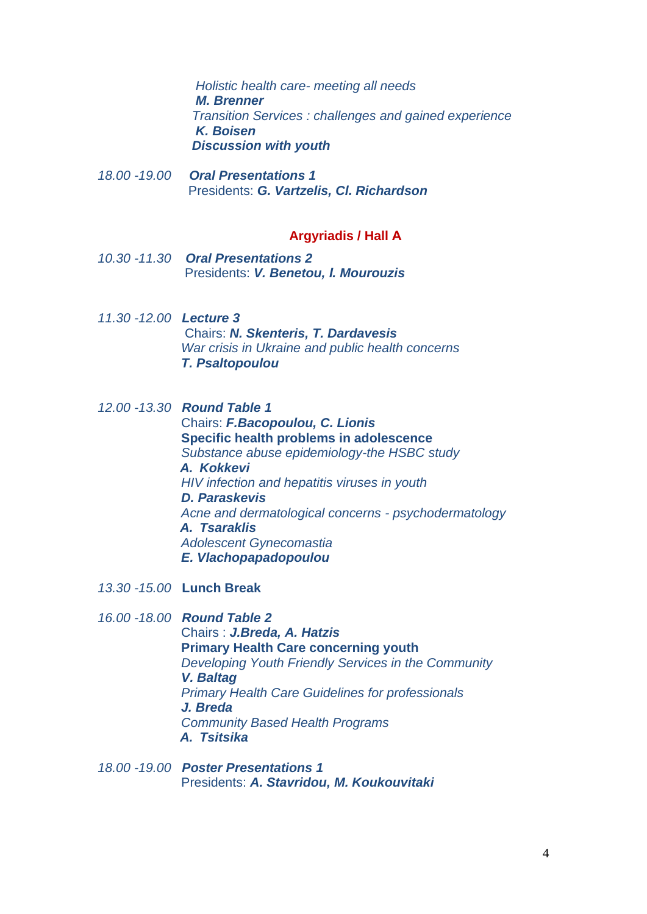*Holistic health care- meeting all needs M. Brenner Transition Services : challenges and gained experience K. Boisen Discussion with youth*

*18.00 -19.00 Oral Presentations 1* Presidents: *G. Vartzelis, Cl. Richardson*

## **Argyriadis / Hall Α**

- *10.30 -11.30 Oral Presentations 2* Presidents: *V. Benetou, Ι. Mourouzis*
- *11.30 -12.00 Lecture 3* Chairs: *N. Skenteris, T. Dardavesis War crisis in Ukraine and public health concerns* *T. Psaltopoulou*
- *12.00 -13.30 Round Table 1* Chairs: *F.Bacopoulou, C. Lionis* **Specific health problems in adolescence**  *Substance abuse epidemiology-the HSBC study A. Kokkevi HIV infection and hepatitis viruses in youth D. Paraskevis Acne and dermatological concerns - psychodermatology A. Tsaraklis Adolescent Gynecomastia E. Vlachopapadopoulou*
- *13.30 -15.00* **Lunch Break**
- *16.00 -18.00 Round Table 2*

 Chairs : *J.Breda, A. Hatzis* **Primary Health Care concerning youth** *Developing Youth Friendly Services in the Community V. Baltag Primary Health Care Guidelines for professionals J. Breda Community Based Health Programs A. Tsitsika*

*18.00 -19.00 Poster Presentations 1* Presidents: *A. Stavridou, M. Koukouvitaki*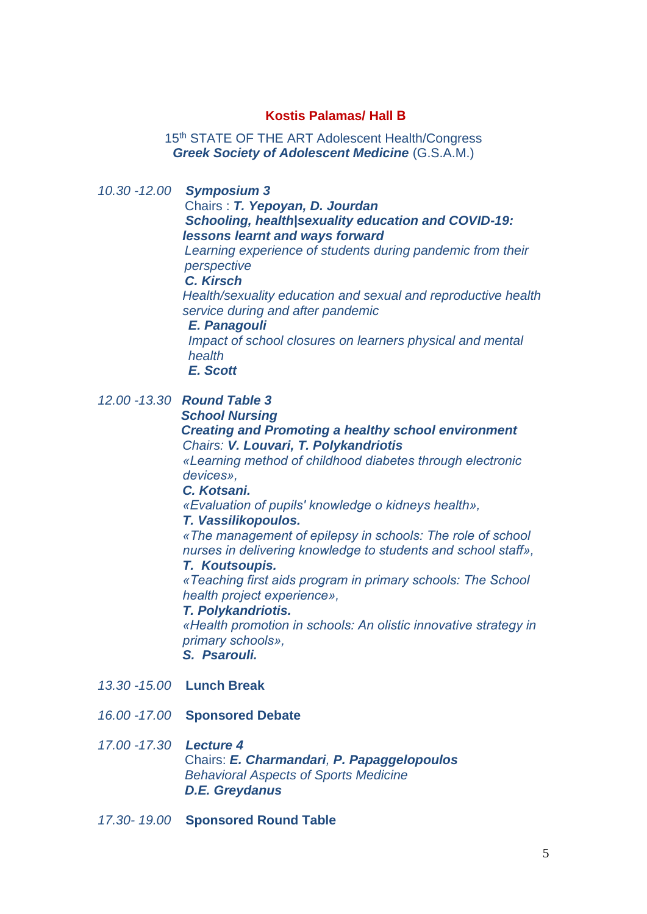## **Kostis Palamas/ Hall Β**

15<sup>th</sup> STATE OF THE ART Adolescent Health/Congress *Greek Society of Adolescent Medicine* (G.S.A.M.)

*10.30 -12.00 Symposium 3*

Chairs : *T. Yepoyan, D. Jourdan Schooling, health|sexuality education and COVID-19: lessons learnt and ways forward*

 *Learning experience of students during pandemic from their perspective*

 *C. Kirsch* 

*Health/sexuality education and sexual and reproductive health service during and after pandemic*

## *E. Panagouli*

 *Impact of school closures on learners physical and mental health*

 *E. Scott*

## *12.00 -13.30 Round Table 3 School Nursing*

### *Creating and Promoting a healthy school environment Chairs: V. Louvari, T. Polykandriotis*

*«Learning method of childhood diabetes through electronic devices»,*

#### *C. Kotsani.*

*«Evaluation of pupils' knowledge o kidneys health»,* 

## *T. Vassilikopoulos.*

*«The management of epilepsy in schools: The role of school nurses in delivering knowledge to students and school staff»,* 

## *T. Koutsoupis.*

*«Teaching first aids program in primary schools: The School health project experience»,* 

#### *T. Polykandriotis.*

*«Health promotion in schools: An olistic innovative strategy in primary schools»,* 

## *S. Psarouli.*

- *13.30 -15.00* **Lunch Break**
- *16.00 -17.00* **Sponsored Debate**

### *17.00 -17.30 Lecture 4*

Chairs: *E. Charmandari, P. Papaggelopoulos Behavioral Aspects of Sports Medicine D.E. Greydanus*

*17.30- 19.00* **Sponsored Round Table**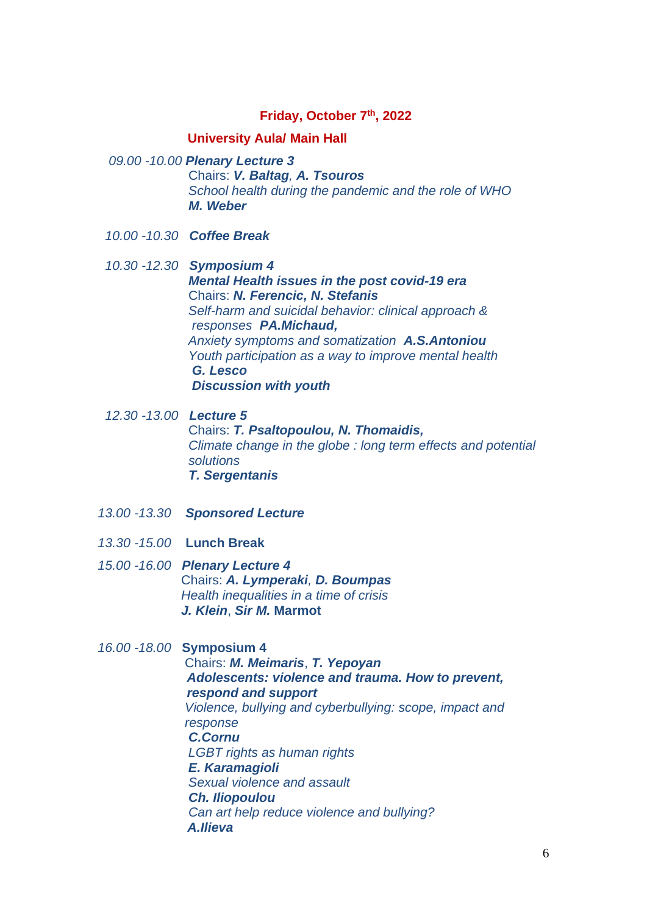## **Friday, October 7 th, 2022**

### **University Aula/ Main Hall**

*09.00 -10.00 Plenary Lecture 3*

Chairs: *V. Baltag, A. Tsouros School health during the pandemic and the role of WHO M. Weber*

- *10.00 -10.30 Coffee Break*
- *10.30 -12.30**Symposium 4* *Mental Health issues in the post covid-19 era* Chairs: *N. Ferencic, N. Stefanis Self-harm and suicidal behavior: clinical approach & responses PA.Michaud, Anxiety symptoms and somatization A.S.Antoniou Youth participation as a way to improve mental health G. Lesco Discussion with youth*

 *12.30 -13.00 Lecture 5* Chairs: *T. Psaltopoulou, N. Thomaidis, Climate change in the globe : long term effects and potential solutions T. Sergentanis*

- *13.00 -13.30 Sponsored Lecture*
- *13.30 -15.00* **Lunch Break**
- *15.00 -16.00 Plenary Lecture 4* Chairs: *A. Lymperaki, D. Boumpas Health inequalities in a time of crisis J. Klein*, *Sir M.* **Marmot**

#### *16.00 -18.00* **Symposium 4**

Chairs: *M. Meimaris*, *T. Yepoyan Adolescents: violence and trauma. How to prevent, respond and support Violence, bullying and cyberbullying: scope, impact and response C.Cornu LGBT rights as human rights E. Karamagioli Sexual violence and assault Ch. Iliopoulou Can art help reduce violence and bullying? A.Ilieva*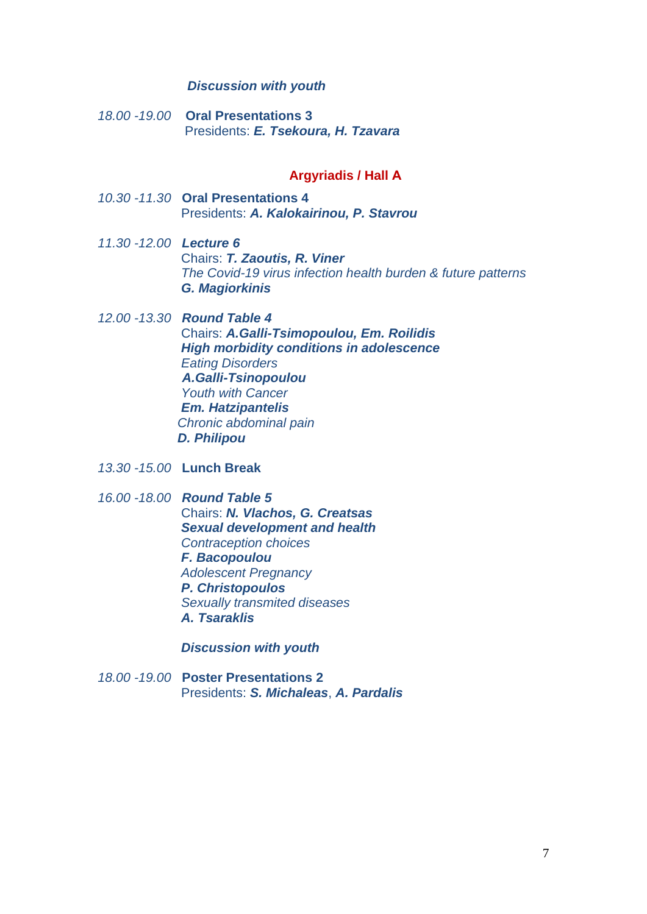#### *Discussion with youth*

*18.00 -19.00* **Oral Presentations 3** Presidents: *E. Tsekoura, H. Tzavara*

## **Argyriadis / Hall Α**

- *10.30 -11.30* **Oral Presentations 4** Presidents: *A. Kalokairinou, P. Stavrou*
- *11.30 -12.00 Lecture 6* Chairs: *T. Zaoutis, R. Viner The Covid-19 virus infection health burden & future patterns* *G. Magiorkinis*
- *12.00 -13.30 Round Table 4* Chairs: *A.Galli-Tsimopoulou, Em. Roilidis High morbidity conditions in adolescence Eating Disorders A.Galli-Tsinopoulou Youth with Cancer Em. Hatzipantelis Chronic abdominal pain D. Philipou*
- *13.30 -15.00* **Lunch Break**
- *16.00 -18.00 Round Table 5* Chairs: *N. Vlachos, G. Creatsas Sexual development and health* *Contraception choices F. Bacopoulou Adolescent Pregnancy P. Christopoulos Sexually transmited diseases A. Tsaraklis*

 *Discussion with youth*

*18.00 -19.00* **Poster Presentations 2** Presidents: *S. Michaleas*, *A. Pardalis*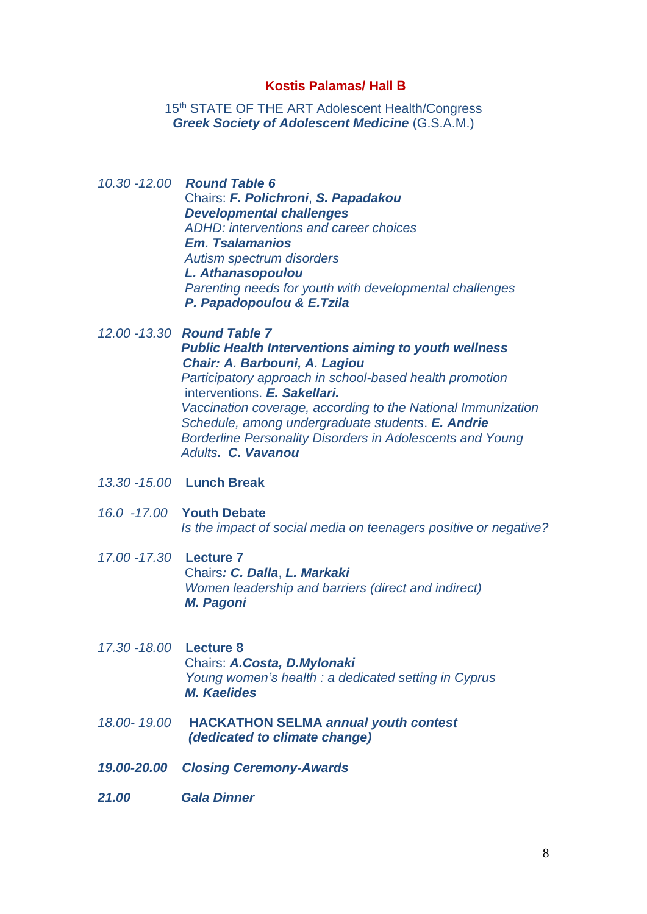### **Kostis Palamas/ Hall Β**

15<sup>th</sup> STATE OF THE ART Adolescent Health/Congress *Greek Society of Adolescent Medicine* (G.S.A.M.)

*10.30 -12.00 Round Table 6* Chairs: *F. Polichroni*, *S. Papadakou Developmental challenges ADHD: interventions and career choices Em. Tsalamanios Autism spectrum disorders L. Athanasopoulou Parenting needs for youth with developmental challenges P. Papadopoulou & E.Tzila*

*12.00 -13.30 Round Table 7 Public Health Interventions aiming to youth wellness Chair: A. Barbouni, A. Lagiou Participatory approach in school-based health promotion* interventions. *E. Sakellari. Vaccination coverage, according to the National Immunization Schedule, among undergraduate students*. *E. Andrie Borderline Personality Disorders in Adolescents and Young Adults. C. Vavanou*

- *13.30 -15.00* **Lunch Break**
- *16.0 -17.00* **Youth Debate**  *Is the impact of social media on teenagers positive or negative?*
- *17.00 -17.30* **Lecture 7** Chairs*: C. Dalla*, *L. Markaki Women leadership and barriers (direct and indirect) M. Pagoni*
- *17.30 -18.00* **Lecture 8** Chairs: *A.Costa, D.Mylonaki Young women's health : a dedicated setting in Cyprus M. Kaelides*
- *18.00- 19.00* **HACKATHON SELMA** *annual youth contest (dedicated to climate change)*
- *19.00-20.00 Closing Ceremony-Awards*
- *21.00 Gala Dinner*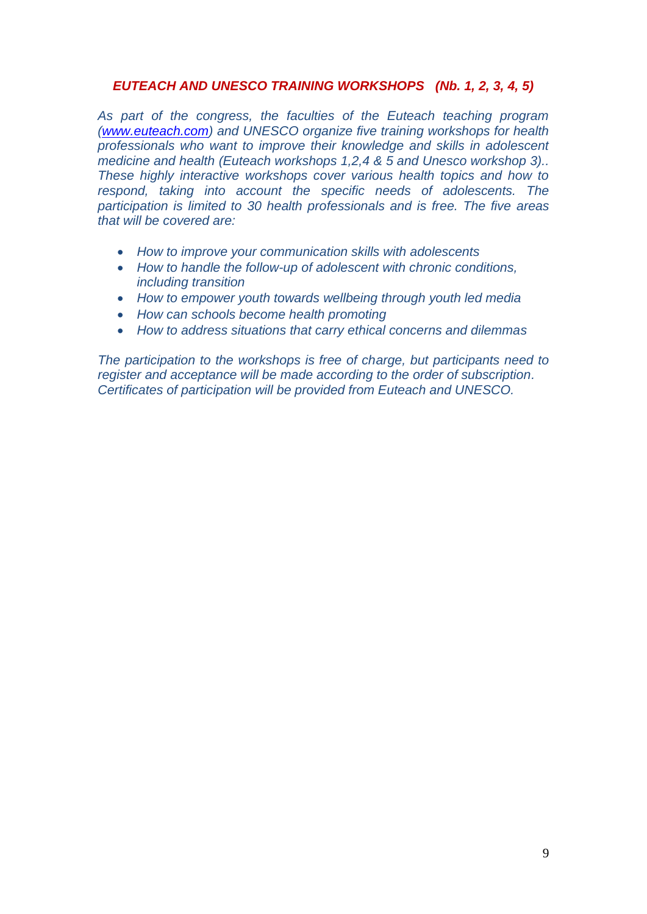# *EUTEACH AND UNESCO TRAINING WORKSHOPS (Nb. 1, 2, 3, 4, 5)*

*As part of the congress, the faculties of the Euteach teaching program [\(www.euteach.com\)](http://www.euteach.com/) and UNESCO organize five training workshops for health professionals who want to improve their knowledge and skills in adolescent medicine and health (Euteach workshops 1,2,4 & 5 and Unesco workshop 3).. These highly interactive workshops cover various health topics and how to respond, taking into account the specific needs of adolescents. The participation is limited to 30 health professionals and is free. The five areas that will be covered are:*

- *How to improve your communication skills with adolescents*
- *How to handle the follow-up of adolescent with chronic conditions, including transition*
- *How to empower youth towards wellbeing through youth led media*
- *How can schools become health promoting*
- *How to address situations that carry ethical concerns and dilemmas*

*The participation to the workshops is free of charge, but participants need to register and acceptance will be made according to the order of subscription. Certificates of participation will be provided from Euteach and UNESCO.*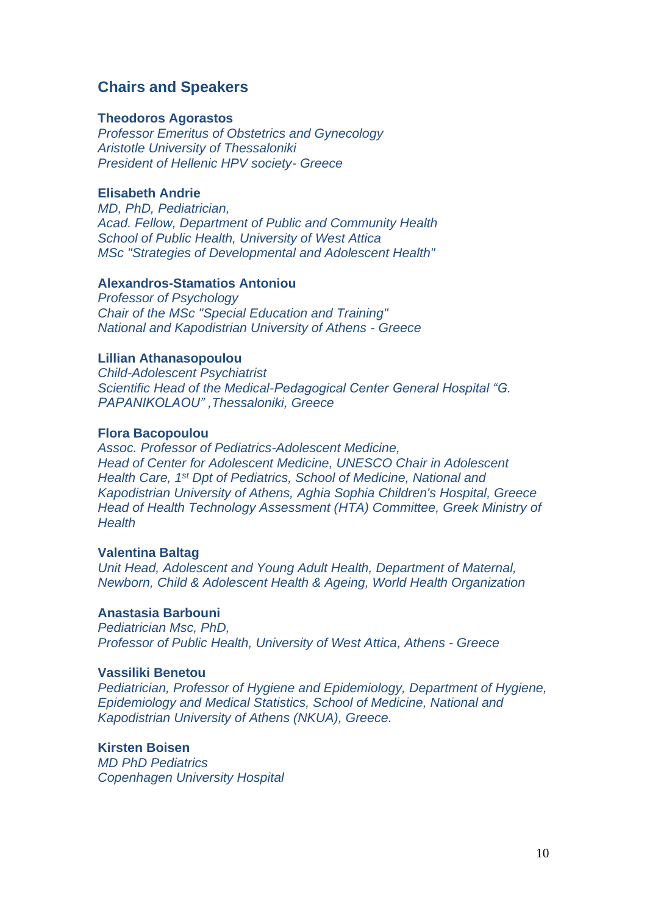# **Chairs and Speakers**

#### **Theodoros Agorastos**

*Professor Emeritus of Obstetrics and Gynecology Aristotle University of Thessaloniki President of Hellenic HPV society- Greece*

### **Elisabeth Andrie**

*MD, PhD, Pediatrician, Acad. Fellow, Department of Public and Community Health School of Public Health, University of West Attica MSc "Strategies of Developmental and Adolescent Health"*

### **Alexandros-Stamatios Antoniou**

*Professor of Psychology Chair of the MSc "Special Education and Training" National and Kapodistrian University of Athens - Greece*

### **Lillian Athanasopoulou**

*Child-Adolescent Psychiatrist Scientific Head of the Medical-Pedagogical Center General Hospital "G. PAPANIKOLAOU" ,Thessaloniki, Greece* 

## **Flora Bacopoulou**

*Assoc. Professor of Pediatrics-Adolescent Medicine, Head of Center for Adolescent Medicine, UNESCO Chair in Adolescent Health Care, 1 st Dpt of Pediatrics, School of Medicine, National and Kapodistrian University of Athens, Aghia Sophia Children's Hospital, Greece Head of Health Technology Assessment (HTA) Committee, Greek Ministry of Health*

### **Valentina Baltag**

*Unit Head, Adolescent and Young Adult Health, Department of Maternal, Newborn, Child & Adolescent Health & Ageing, World Health Organization*

## **Anastasia Barbouni**

*Pediatrician Msc, PhD, Professor of Public Health, University of West Attica, Athens - Greece*

#### **Vassiliki Benetou**

*Pediatrician, Professor of Hygiene and Epidemiology, Department of Hygiene, Epidemiology and Medical Statistics, School of Medicine, National and Kapodistrian University of Athens (NKUA), Greece.*

## **Kirsten Boisen**

*MD PhD Pediatrics Copenhagen University Hospital*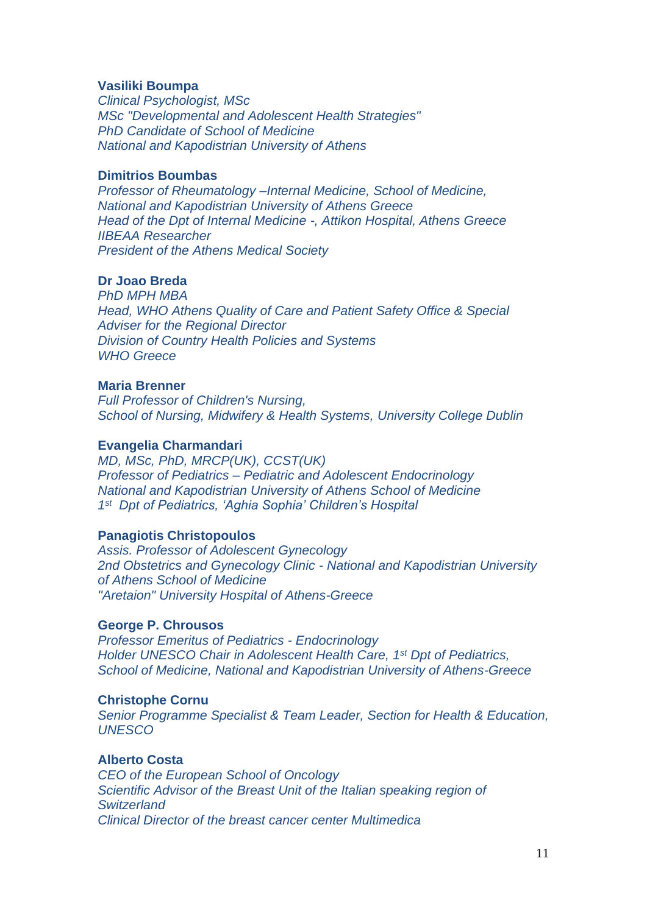### **Vasiliki Boumpa**

*Clinical Psychologist, MSc MSc "Developmental and Adolescent Health Strategies" PhD Candidate of School of Medicine National and Kapodistrian University of Athens* 

### **Dimitriοs Boumbas**

*Professor of Rheumatology –Internal Medicine, School of Medicine, National and Kapodistrian University of Athens Greece Head of the Dpt of Internal Medicine -, Attikon Hospital, Athens Greece IIBEAA Researcher President of the Athens Medical Society*

## **Dr Joao Breda**

*PhD MPH MBA Head, WHO Athens Quality of Care and Patient Safety Office & Special Adviser for the Regional Director Division of Country Health Policies and Systems WHO Greece*

## **Maria Brenner**

*Full Professor of Children's Nursing, School of Nursing, Midwifery & Health Systems, University College Dublin*

### **Evangelia Charmandari**

*MD, MSc, PhD, MRCP(UK), CCST(UK) Professor of Pediatrics – Pediatric and Adolescent Endocrinology National and Kapodistrian University of Athens School of Medicine 1 st Dpt of Pediatrics, 'Aghia Sophia' Children's Hospital*

#### **Panagiotis Christopoulos**

*Assis. Professor of Adolescent Gynecology 2nd Obstetrics and Gynecology Clinic - National and Kapodistrian University of Athens School of Medicine "Aretaion" University Hospital of Athens-Greece*

### **George P. Chrousos**

*Professor Emeritus of Pediatrics - Endocrinology Holder UNESCO Chair in Adolescent Health Care, 1st Dpt of Pediatrics, School of Medicine, National and Kapodistrian University of Athens-Greece*

### **Christophe Cornu**

*Senior Programme Specialist & Team Leader, Section for Health & Education, UNESCO*

### **Alberto Costa**

*CEO of the European School of Oncology Scientific Advisor of the Breast Unit of the Italian speaking region of Switzerland Clinical Director of the breast cancer center Multimedica*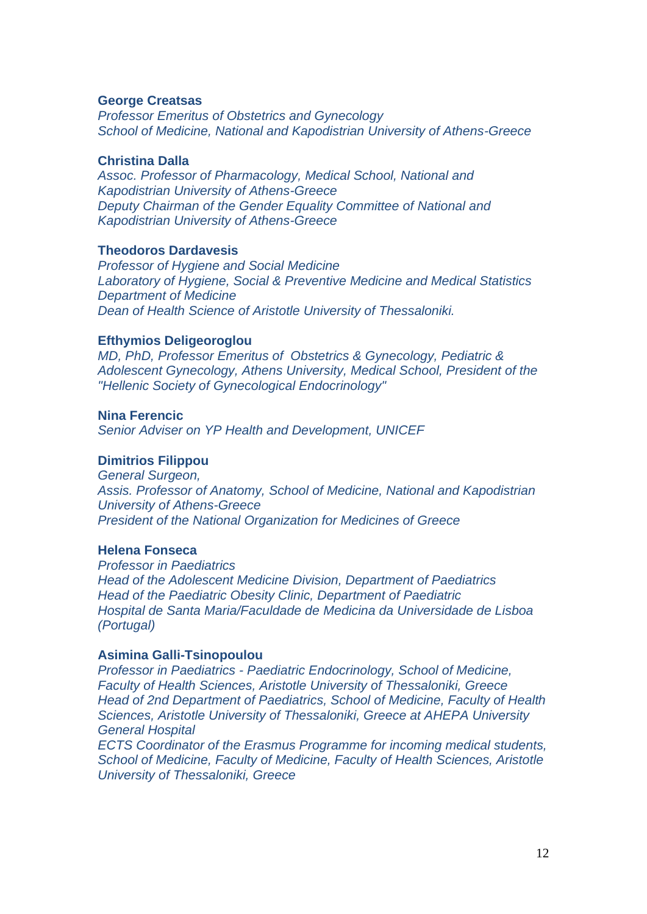### **George Creatsas**

*Professor Emeritus of Obstetrics and Gynecology School of Medicine, National and Kapodistrian University of Athens-Greece*

### **Christina Dalla**

*Assoc. Professor of Pharmacology, Medical School, National and Kapodistrian University of Athens-Greece Deputy Chairman of the Gender Equality Committee of National and Kapodistrian University of Athens-Greece*

### **Theodoros Dardavesis**

*Professor of Hygiene and Social Medicine Laboratory of Hygiene, Social & Preventive Medicine and Medical Statistics Department of Medicine Dean of Health Science of Aristotle University of Thessaloniki.*

### **Efthymios Deligeoroglou**

*MD, PhD, Professor Emeritus of Obstetrics & Gynecology, Pediatric & Adolescent Gynecology, Athens University, Medical School, President of the "Hellenic Society of Gynecological Endocrinology"*

## **Nina Ferencic**

*Senior Adviser on YP Health and Development, UNICEF*

#### **Dimitrios Filippou**

*General Surgeon, Assis. Professor of Anatomy, School of Medicine, National and Kapodistrian University of Athens-Greece President of the National Organization for Medicines of Greece*

### **Helena Fonseca**

*Professor in Paediatrics Head of the Adolescent Medicine Division, Department of Paediatrics Head of the Paediatric Obesity Clinic, Department of Paediatric Hospital de Santa Maria/Faculdade de Medicina da Universidade de Lisboa (Portugal)*

#### **Asimina Galli-Tsinopoulou**

*Professor in Paediatrics - Paediatric Endocrinology, School of Medicine, Faculty of Health Sciences, Aristotle University of Thessaloniki, Greece Head of 2nd Department of Paediatrics, School of Medicine, Faculty of Health Sciences, Aristotle University of Thessaloniki, Greece at AHEPA University General Hospital*

*ECTS Coordinator of the Erasmus Programme for incoming medical students, School of Medicine, Faculty of Medicine, Faculty of Health Sciences, Aristotle University of Thessaloniki, Greece*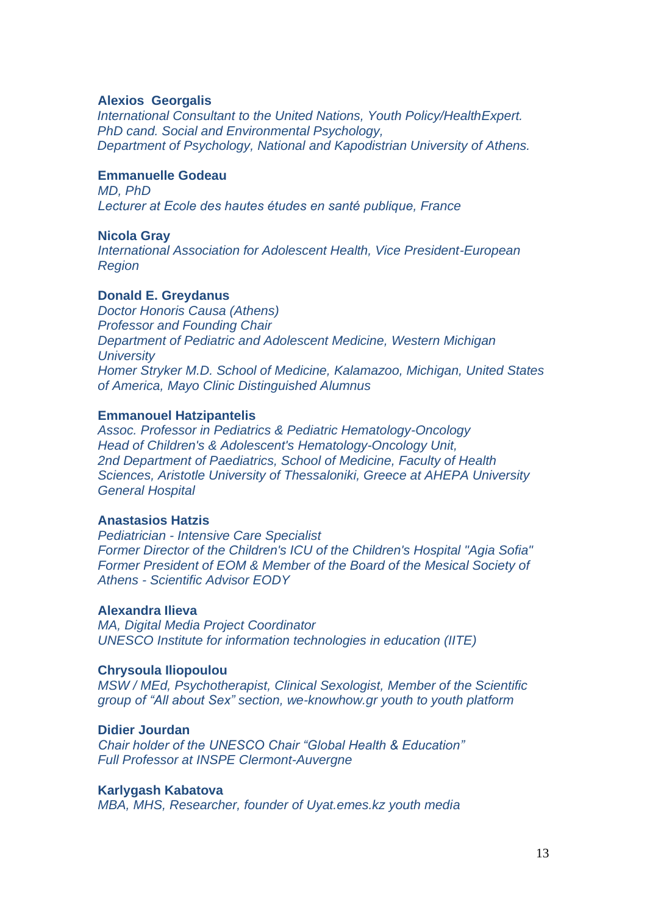### **Alexios Georgalis**

*International Consultant to the United Nations, Youth Policy/HealthExpert. PhD cand. Social and Environmental Psychology, Department of Psychology, National and Kapodistrian University of Athens.*

## **Emmanuelle Godeau**

*MD, PhD Lecturer at Ecole des hautes études en santé publique, France*

### **Nicola Gray**

*International Association for Adolescent Health, Vice President-European Region*

#### **Donald E. Greydanus**

*Doctor Honoris Causa (Athens) Professor and Founding Chair Department of Pediatric and Adolescent Medicine, Western Michigan University Homer Stryker M.D. School of Medicine, Kalamazoo, Michigan, United States of America, Mayo Clinic Distinguished Alumnus*

#### **Emmanouel Hatzipantelis**

*Assoc. Professor in Pediatrics & Pediatric Hematology-Oncology Head of Children's & Adolescent's Hematology-Oncology Unit, 2nd Department of Paediatrics, School of Medicine, Faculty of Health Sciences, Aristotle University of Thessaloniki, Greece at AHEPA University General Hospital*

### **Anastasios Hatzis**

*Pediatrician - Intensive Care Specialist Former Director of the Children's ICU of the Children's Hospital "Agia Sofia" Former President of EOM & Member of the Board of the Mesical Society of Athens - Scientific Advisor EODY*

#### **Alexandra Ilieva**

*MA, Digital Media Project Coordinator UNESCO Institute for information technologies in education (IITE)*

## **Chrysoula Iliopoulou**

*MSW / MEd, Psychotherapist, Clinical Sexologist, Member of the Scientific group of "All about Sex" section, we-knowhow.gr youth to youth platform*

## **Didier Jourdan**

*Chair holder of the UNESCO Chair "Global Health & Education" Full Professor at INSPE Clermont-Auvergne*

### **Karlygash Kabatova**

*MBA, MHS, Researcher, founder of Uyat.emes.kz youth media*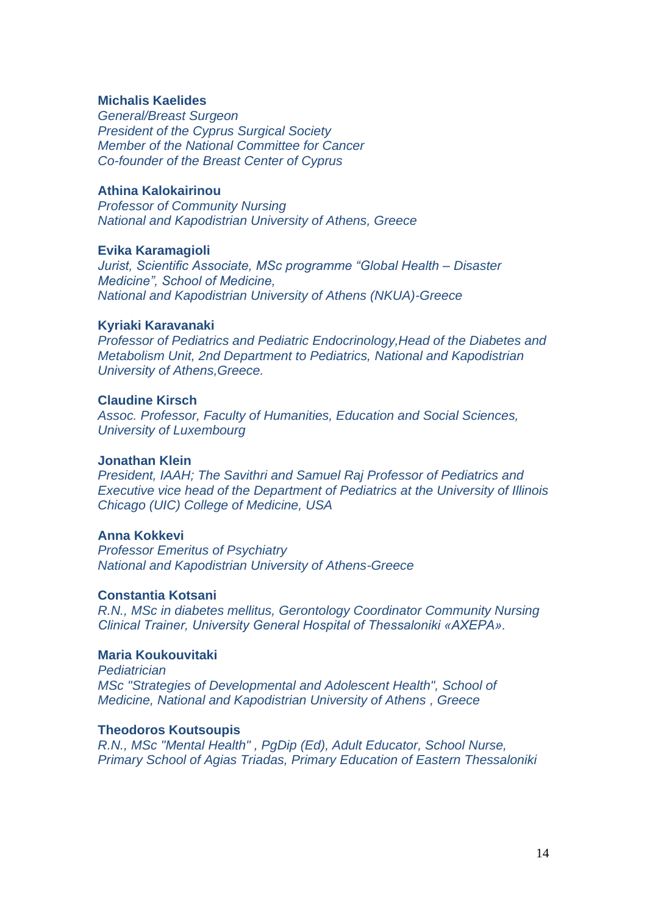## **Michalis Kaelides**

*General/Breast Surgeon President of the Cyprus Surgical Society Member of the National Committee for Cancer Co-founder of the Breast Center of Cyprus*

#### **Athina Kalokairinou**

*Professor of Community Nursing National and Kapodistrian University of Athens, Greece*

#### **Evika Karamagioli**

*Jurist, Scientific Associate, MSc programme "Global Health – Disaster Medicine", School of Medicine, National and Kapodistrian University of Athens (NKUA)-Greece*

#### **Kyriaki Karavanaki**

*Professor of Pediatrics and Pediatric Endocrinology,Head of the Diabetes and Metabolism Unit, 2nd Department to Pediatrics, National and Kapodistrian University of Athens,Greece.*

### **Claudine Kirsch**

*Assoc. Professor, Faculty of Humanities, Education and Social Sciences, University of Luxembourg*

## **Jonathan Klein**

*President, IAAH; The Savithri and Samuel Raj Professor of Pediatrics and Executive vice head of the Department of Pediatrics at the University of Illinois Chicago (UIC) College of Medicine, USA*

## **Anna Kokkevi**

*Professor Emeritus of Psychiatry National and Kapodistrian University of Athens-Greece*

#### **Constantia Kotsani**

*R.N., MSc in diabetes mellitus, Gerontology Coordinator Community Nursing Clinical Trainer, University General Hospital of Thessaloniki «AXEPA».*

## **Maria Koukouvitaki**

*Pediatrician MSc "Strategies of Developmental and Adolescent Health", School of Medicine, National and Kapodistrian University of Athens , Greece*

#### **Theodoros Koutsoupis**

*R.N., MSc "Mental Health" , PgDip (Ed), Adult Educator, School Nurse, Primary School of Agias Triadas, Primary Education of Eastern Thessaloniki*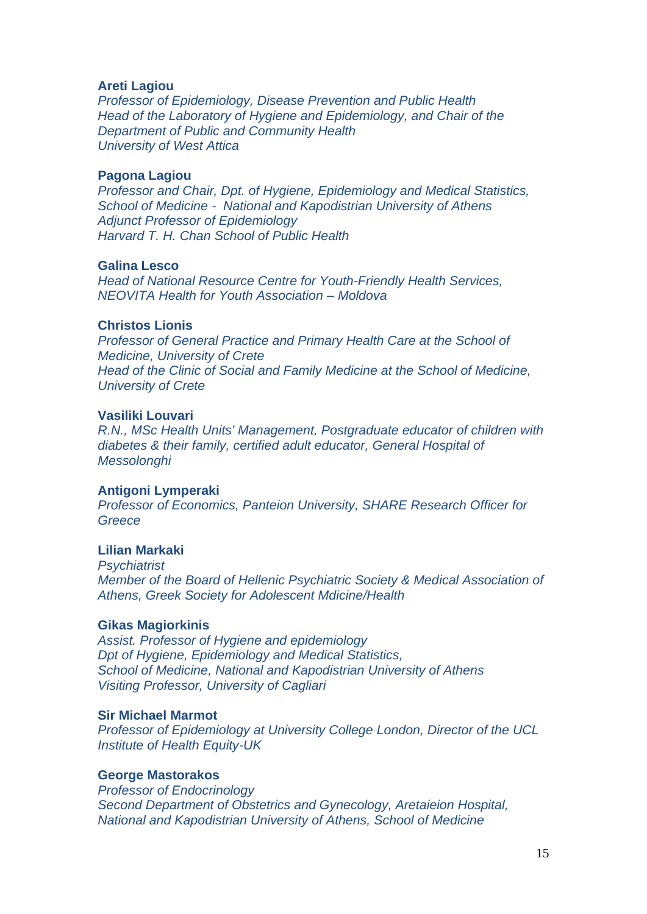### **Areti Lagiou**

*Professor of Epidemiology, Disease Prevention and Public Health Head of the Laboratory of Hygiene and Epidemiology, and Chair of the Department of Public and Community Health University of West Attica*

#### **Pagona Lagiou**

*Professor and Chair, Dpt. of Hygiene, Epidemiology and Medical Statistics, School of Medicine - National and Kapodistrian University of Athens Adjunct Professor of Epidemiology Harvard T. H. Chan School of Public Health*

#### **Galina Lesco**

*Head of National Resource Centre for Youth-Friendly Health Services, NEOVITA Health for Youth Association – Moldova*

### **Christos Lionis**

*Professor of General Practice and Primary Health Care at the School of Medicine, University of Crete Head of the Clinic of Social and Family Medicine at the School of Medicine, University of Crete*

### **Vasiliki Louvari**

*R.N., MSc Health Units' Management, Postgraduate educator of children with diabetes & their family, certified adult educator, General Hospital of Messolonghi* 

#### **Antigoni Lymperaki**

*Professor of Economics, Panteion University, SHARE Research Officer for Greece*

#### **Lilian Markaki**

*Psychiatrist Member of the Board of Hellenic Psychiatric Society & Medical Association of Athens, Greek Society for Adolescent Mdicine/Health*

### **Gikas Magiorkinis**

*Assist. Professor of Hygiene and epidemiology Dpt of Hygiene, Epidemiology and Medical Statistics, School of Medicine, National and Kapodistrian University of Athens Visiting Professor, University of Cagliari*

#### **Sir Michael Marmot**

*Professor of Epidemiology at University College London, Director of the UCL Institute of Health Equity-UK*

### **George Mastorakos**

*Professor of Endocrinology Second Department of Obstetrics and Gynecology, Aretaieion Hospital, National and Kapodistrian University of Athens, School of Medicine*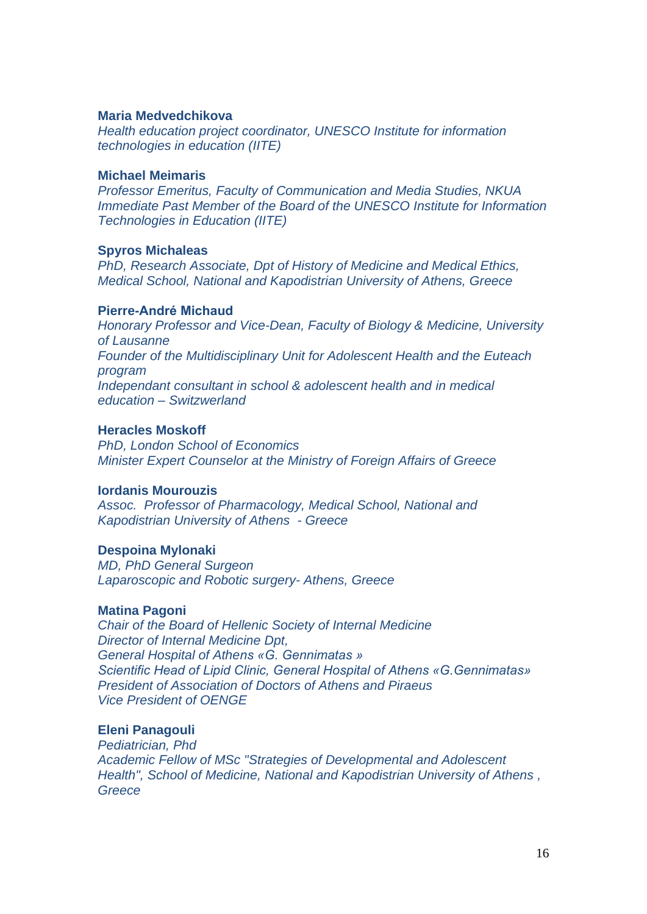### **Maria Medvedchikova**

*Health education project coordinator, UNESCO Institute for information technologies in education (IITE)*

### **Michael Meimaris**

*Professor Emeritus, Faculty of Communication and Media Studies, NKUA Immediate Past Member of the Board of the UNESCO Institute for Information Technologies in Education (IITE)*

### **Spyros Michaleas**

*PhD, Research Associate, Dpt of History of Medicine and Medical Ethics, Medical School, National and Kapodistrian University of Athens, Greece*

### **Pierre-André Michaud**

*Honorary Professor and Vice-Dean, Faculty of Biology & Medicine, University of Lausanne Founder of the Multidisciplinary Unit for Adolescent Health and the Euteach program Independant consultant in school & adolescent health and in medical education – Switzwerland*

### **Heracles Moskoff**

*PhD, London School of Economics Minister Expert Counselor at the Ministry of Foreign Affairs of Greece*

### **Iordanis Mourouzis**

*Assoc. Professor of Pharmacology, Medical School, National and Kapodistrian University of Athens - Greece*

### **Despoina Mylonaki**

*MD, PhD General Surgeon Laparoscopic and Robotic surgery- Athens, Greece*

### **Matina Pagoni**

*Chair of the Board of Hellenic Society of Internal Medicine Director of Internal Medicine Dpt, General Hospital of Athens «G. Gennimatas » Scientific Head of Lipid Clinic, General Hospital of Athens «G.Gennimatas» President of Association of Doctors of Athens and Piraeus Vice President of OENGE*

### **Eleni Panagouli**

*Pediatrician, Phd Academic Fellow of MSc "Strategies of Developmental and Adolescent Health", School of Medicine, National and Kapodistrian University of Athens , Greece*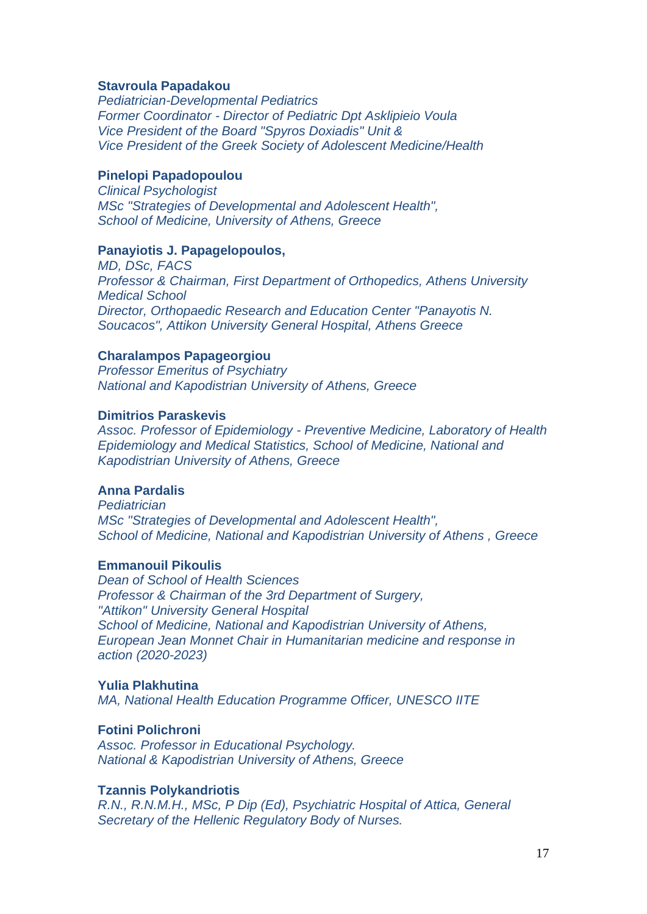### **Stavroula Papadakou**

*Pediatrician-Developmental Pediatrics Former Coordinator - Director of Pediatric Dpt Asklipieio Voula Vice President of the Board "Spyros Doxiadis" Unit & Vice President of the Greek Society of Adolescent Medicine/Health*

### **Pinelopi Papadopoulou**

*Clinical Psychologist MSc "Strategies of Developmental and Adolescent Health", School of Medicine, University of Athens, Greece*

## **Panayiotis J. Papagelopoulos,**

*MD, DSc, FACS Professor & Chairman, First Department of Orthopedics, Athens University Medical School Director, Orthopaedic Research and Education Center "Panayotis N. Soucacos", Attikon University General Hospital, Athens Greece*

## **Charalampos Papageorgiou**

*Professor Emeritus of Psychiatry National and Kapodistrian University of Athens, Greece*

## **Dimitrios Paraskevis**

*Assoc. Professor of Epidemiology - Preventive Medicine, Laboratory of Health Epidemiology and Medical Statistics, School of Medicine, National and Kapodistrian University of Athens, Greece*

## **Anna Pardalis**

*Pediatrician MSc "Strategies of Developmental and Adolescent Health", School of Medicine, National and Kapodistrian University of Athens , Greece*

## **Emmanouil Pikoulis**

*Dean of School of Health Sciences Professor & Chairman of the 3rd Department of Surgery, "Attikon" University General Hospital School of Medicine, National and Kapodistrian University of Athens, European Jean Monnet Chair in Humanitarian medicine and response in action (2020-2023)*

### **Yulia Plakhutina**

*MA, National Health Education Programme Officer, UNESCO IITE*

### **Fοtini Polichroni**

*Assoc. Professor in Educational Psychology. National & Kapodistrian University of Athens, Greece*

## **Tzannis Polykandriotis**

*R.N., R.N.M.H., MSc, P Dip (Ed), Psychiatric Hospital of Attica, General Secretary of the Hellenic Regulatory Body of Nurses.*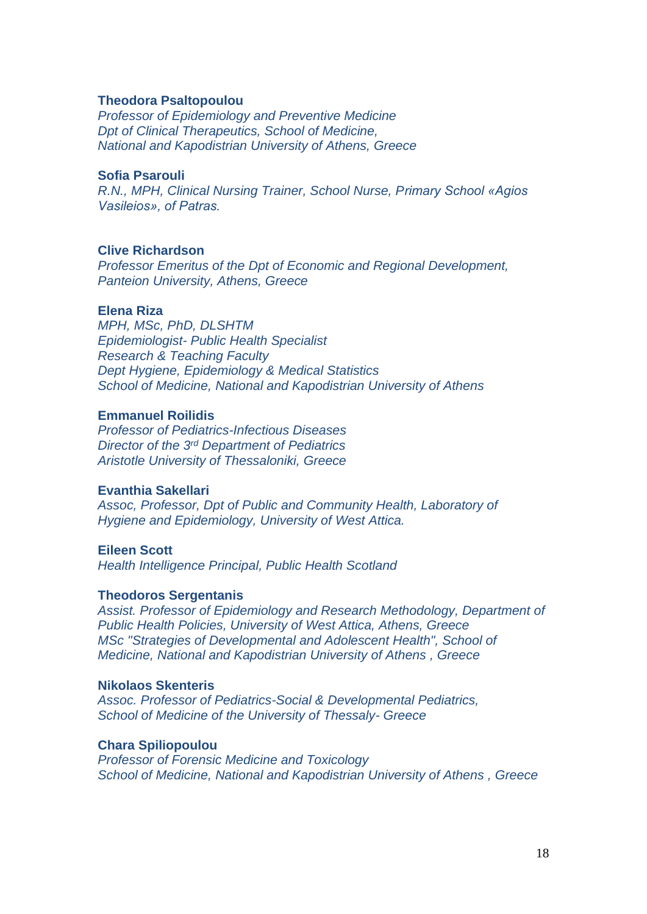### **Theodora Psaltopoulou**

*Professor of Epidemiology and Preventive Medicine Dpt of Clinical Therapeutics, School of Medicine, National and Kapodistrian University of Athens, Greece*

### **Sofia Psarouli**

*R.N., MPH, Clinical Nursing Trainer, School Nurse, Primary School «Agios Vasileios», of Patras.*

### **Clive Richardson**

*Professor Emeritus of the Dpt of Economic and Regional Development, Panteion University, Athens, Greece*

## **Elena Riza**

*MPH, MSc, PhD, DLSHTM Epidemiologist- Public Health Specialist Research & Teaching Faculty Dept Hygiene, Epidemiology & Medical Statistics School of Medicine, National and Kapodistrian University of Athens*

## **Emmanuel Roilidis**

*Professor of Pediatrics-Infectious Diseases Director of the 3 rd Department of Pediatrics Aristotle University of Thessaloniki, Greece*

### **Evanthia Sakellari**

*Assoc, Professor, Dpt of Public and Community Health, Laboratory of Hygiene and Epidemiology, University of West Attica.*

#### **Eileen Scott**

*Health Intelligence Principal, Public Health Scotland*

#### **Theodoros Sergentanis**

*Assist. Professor of Epidemiology and Research Methodology, Department of Public Health Policies, University of West Attica, Athens, Greece MSc "Strategies of Developmental and Adolescent Health", School of Medicine, National and Kapodistrian University of Athens , Greece*

### **Nikolaos Skenteris**

*Assoc. Professor of Pediatrics-Social & Developmental Pediatrics, School of Medicine of the University of Thessaly- Greece*

## **Chara Spiliopoulou**

*Professor of Forensic Medicine and Toxicology School of Medicine, National and Kapodistrian University of Athens , Greece*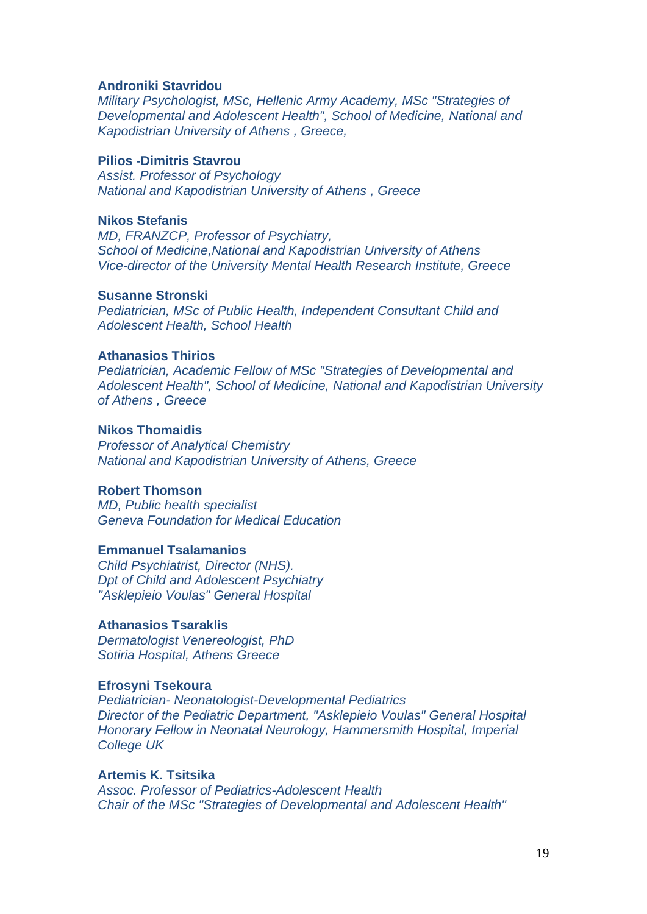### **Androniki Stavridou**

*Military Psychologist, MSc, Hellenic Army Academy, MSc "Strategies of Developmental and Adolescent Health", School of Medicine, National and Kapodistrian University of Athens , Greece,*

## **Pilios -Dimitris Stavrou**

*Assist. Professor of Psychology National and Kapodistrian University of Athens , Greece*

## **Nikos Stefanis**

*MD, FRANZCP, Professor of Psychiatry, School of Medicine,National and Kapodistrian University of Athens Vice-director of the University Mental Health Research Institute, Greece*

#### **Susanne Stronski**

*Pediatrician, MSc of Public Health, Independent Consultant Child and Adolescent Health, School Health*

## **Athanasios Thirios**

*Pediatrician, Academic Fellow of MSc "Strategies of Developmental and Adolescent Health", School of Medicine, National and Kapodistrian University of Athens , Greece*

### **Nikos Thomaidis**

*Professor of Analytical Chemistry National and Kapodistrian University of Athens, Greece*

## **Robert Thomson**

*MD, Public health specialist Geneva Foundation for Medical Education*

## **Emmanuel Tsalamanios**

*Child Psychiatrist, Director (NHS). Dpt of Child and Adolescent Psychiatry "Asklepieio Voulas" General Hospital*

### **Athanasios Tsaraklis**

*Dermatologist Venereologist, PhD Sotiria Hospital, Athens Greece*

### **Efrosyni Tsekoura**

*Pediatrician- Neonatologist-Developmental Pediatrics Director of the Pediatric Department, "Asklepieio Voulas" General Hospital Honorary Fellow in Neonatal Neurology, Hammersmith Hospital, Imperial College UK*

## **Artemis K. Tsitsika**

*Assoc. Professor of Pediatrics-Adolescent Health Chair of the MSc "Strategies of Developmental and Adolescent Health"*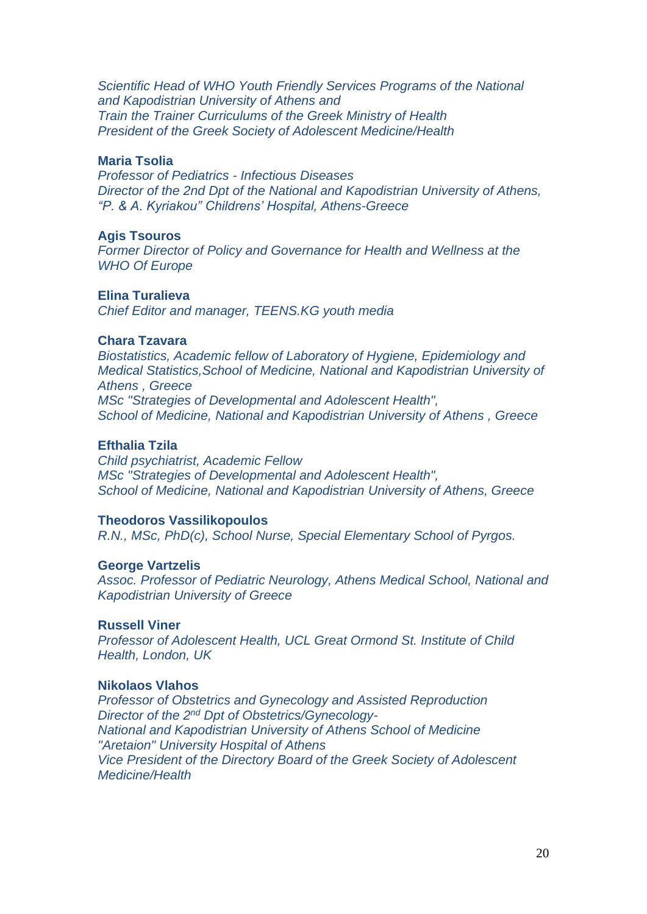*Scientific Head of WHO Youth Friendly Services Programs of the National and Kapodistrian University of Athens and Train the Trainer Curriculums of the Greek Ministry of Health President of the Greek Society of Adolescent Medicine/Health*

## **Maria Tsolia**

*Professor of Pediatrics - Infectious Diseases Director of the 2nd Dpt of the National and Kapodistrian University of Athens, "P. & A. Kyriakou" Childrens' Hospital, Athens-Greece*

## **Agis Tsouros**

*Former Director of Policy and Governance for Health and Wellness at the WHO Of Europe*

#### **Elina Turalieva**

*Chief Editor and manager, TEENS.KG youth media*

#### **Chara Tzavara**

*Biostatistics, Academic fellow of Laboratory of Hygiene, Epidemiology and Medical Statistics,School of Medicine, National and Kapodistrian University of Athens , Greece MSc "Strategies of Developmental and Adolescent Health", School of Medicine, National and Kapodistrian University of Athens , Greece*

### **Efthalia Tzila**

*Child psychiatrist, Academic Fellow MSc "Strategies of Developmental and Adolescent Health", School of Medicine, National and Kapodistrian University of Athens, Greece*

#### **Theodoros Vassilikopoulos**

*R.N., MSc, PhD(c), School Nurse, Special Elementary School of Pyrgos.*

## **George Vartzelis**

*Assoc. Professor of Pediatric Neurology, Athens Medical School, National and Kapodistrian University of Greece*

## **Russell Viner**

*Professor of Adolescent Health, UCL Great Ormond St. Institute of Child Health, London, UK*

### **Nikolaos Vlahos**

*Professor of Obstetrics and Gynecology and Assisted Reproduction* Director of the 2<sup>nd</sup> Dpt of Obstetrics/Gynecology-*National and Kapodistrian University of Athens School of Medicine "Aretaion" University Hospital of Athens Vice President of the Directory Board of the Greek Society of Adolescent Medicine/Health*